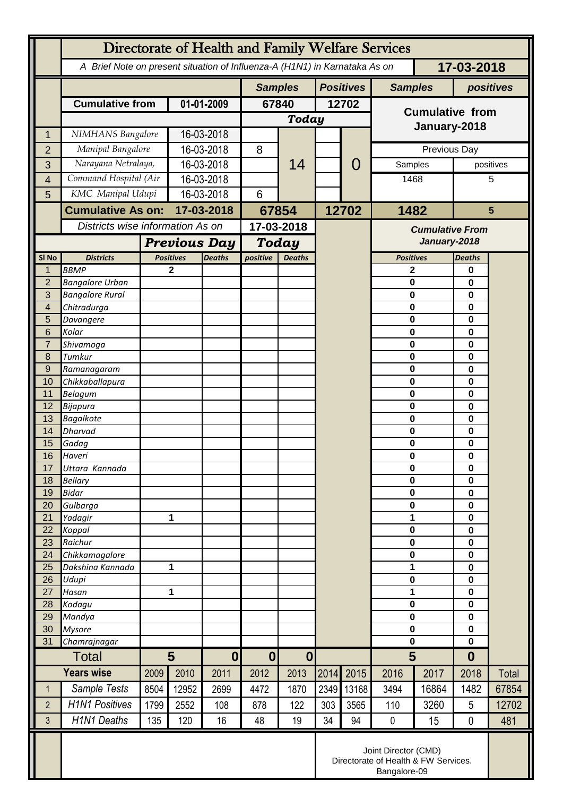|                  | Directorate of Health and Family Welfare Services                                        |                     |                                   |                  |                                      |               |                  |       |                            |          |                            |       |
|------------------|------------------------------------------------------------------------------------------|---------------------|-----------------------------------|------------------|--------------------------------------|---------------|------------------|-------|----------------------------|----------|----------------------------|-------|
|                  | 17-03-2018<br>A Brief Note on present situation of Influenza-A (H1N1) in Karnataka As on |                     |                                   |                  |                                      |               |                  |       |                            |          |                            |       |
|                  |                                                                                          |                     |                                   |                  | <b>Samples</b>                       |               | <b>Positives</b> |       | <b>Samples</b>             |          | positives                  |       |
|                  | <b>Cumulative from</b>                                                                   | 01-01-2009          |                                   | 67840            |                                      | 12702         |                  |       |                            |          |                            |       |
|                  |                                                                                          |                     |                                   |                  | Today                                |               |                  |       | <b>Cumulative from</b>     |          |                            |       |
| 1                | NIMHANS Bangalore                                                                        |                     | 16-03-2018                        |                  |                                      |               |                  |       | January-2018               |          |                            |       |
| $\overline{2}$   | Manipal Bangalore                                                                        |                     | 16-03-2018                        |                  | 8                                    | 14            |                  |       | Previous Day               |          |                            |       |
| 3                | Narayana Netralaya,                                                                      |                     | 16-03-2018                        |                  |                                      |               |                  | O     | Samples                    |          | positives                  |       |
| $\overline{4}$   | Command Hospital (Air                                                                    |                     | 16-03-2018                        |                  |                                      |               |                  |       | 1468                       |          |                            | 5     |
| 5                | KMC Manipal Udupi                                                                        |                     | 16-03-2018                        |                  | 6                                    |               |                  |       |                            |          |                            |       |
|                  | <b>Cumulative As on:</b>                                                                 |                     | 17-03-2018                        |                  | 67854                                |               | 12702            |       | 1482                       |          | $5\phantom{1}$             |       |
|                  | Districts wise information As on                                                         |                     |                                   |                  | 17-03-2018                           |               |                  |       | <b>Cumulative From</b>     |          |                            |       |
|                  |                                                                                          | <b>Previous Day</b> |                                   |                  | <b>Today</b>                         |               |                  |       | January-2018               |          |                            |       |
| SI <sub>No</sub> | <b>Districts</b>                                                                         |                     | <b>Positives</b><br><b>Deaths</b> |                  | positive                             | <b>Deaths</b> |                  |       | <b>Positives</b>           |          | <b>Deaths</b>              |       |
| 1                | <b>BBMP</b>                                                                              |                     | 2                                 |                  |                                      |               |                  |       | 2                          |          | $\bf{0}$                   |       |
| $\overline{2}$   | <b>Bangalore Urban</b>                                                                   |                     |                                   |                  |                                      |               |                  |       | $\mathbf 0$                |          | $\bf{0}$                   |       |
| 3                | <b>Bangalore Rural</b>                                                                   |                     |                                   |                  |                                      |               |                  |       | $\mathbf 0$                |          | $\mathbf 0$                |       |
| 4<br>5           | Chitradurga<br>Davangere                                                                 |                     |                                   |                  |                                      |               |                  |       | $\mathbf 0$<br>$\mathbf 0$ |          | $\bf{0}$<br>$\mathbf 0$    |       |
| 6                | Kolar                                                                                    |                     |                                   |                  |                                      |               |                  |       | $\mathbf 0$                |          | 0                          |       |
| $\overline{7}$   | Shivamoga                                                                                |                     |                                   |                  |                                      |               |                  |       | $\mathbf 0$                |          | $\bf{0}$                   |       |
| 8                | Tumkur                                                                                   |                     |                                   |                  |                                      |               |                  |       | $\mathbf 0$                |          | $\mathbf 0$                |       |
| 9                | Ramanagaram                                                                              |                     |                                   |                  |                                      |               |                  |       | $\mathbf 0$                |          | $\mathbf 0$                |       |
| 10<br>11         | Chikkaballapura<br><b>Belagum</b>                                                        |                     |                                   |                  |                                      |               |                  |       | $\mathbf 0$<br>$\mathbf 0$ |          | $\mathbf 0$<br>$\mathbf 0$ |       |
| 12               | Bijapura                                                                                 |                     |                                   |                  |                                      |               |                  |       | $\bf{0}$                   |          | $\mathbf 0$                |       |
| 13               | <b>Bagalkote</b>                                                                         |                     |                                   |                  |                                      |               |                  |       | $\mathbf 0$                | $\bf{0}$ |                            |       |
| 14               | Dharvad                                                                                  |                     |                                   |                  |                                      |               |                  |       | $\mathbf 0$                |          | $\mathbf 0$                |       |
| 15               | Gadag                                                                                    |                     |                                   |                  |                                      |               |                  |       | $\mathbf 0$                |          | $\mathbf 0$                |       |
| 16<br>17         | Haveri<br>Uttara Kannada                                                                 |                     |                                   |                  |                                      |               |                  |       | $\bf{0}$<br>0              |          | 0<br>0                     |       |
| 18               | <b>Bellary</b>                                                                           |                     |                                   |                  |                                      |               |                  |       | $\mathbf 0$                |          | 0                          |       |
| 19               | <b>Bidar</b>                                                                             |                     |                                   |                  |                                      |               |                  |       | $\mathbf 0$                |          | $\mathbf 0$                |       |
| 20               | Gulbarga                                                                                 |                     |                                   |                  |                                      |               |                  |       | $\mathbf 0$                |          | $\mathbf 0$                |       |
| 21               | Yadagir                                                                                  |                     | 1                                 |                  |                                      |               |                  |       | 1                          |          | $\mathbf 0$                |       |
| 22<br>23         | Koppal<br>Raichur                                                                        |                     |                                   |                  |                                      |               |                  |       | $\mathbf 0$<br>$\mathbf 0$ |          | $\mathbf 0$<br>0           |       |
| 24               | Chikkamagalore                                                                           |                     |                                   |                  |                                      |               |                  |       | $\mathbf 0$                |          | $\mathbf 0$                |       |
| 25               | Dakshina Kannada                                                                         | 1                   |                                   |                  |                                      |               |                  |       | 1                          |          | $\mathbf 0$                |       |
| 26               | Udupi                                                                                    |                     |                                   |                  |                                      |               |                  |       | $\mathbf 0$                |          | $\mathbf 0$                |       |
| 27               | Hasan                                                                                    | 1                   |                                   |                  |                                      |               |                  |       | 1                          |          | $\mathbf 0$                |       |
| 28<br>29         | Kodagu<br>Mandya                                                                         |                     |                                   |                  |                                      |               |                  |       | $\mathbf 0$<br>$\mathbf 0$ |          | 0<br>$\mathbf 0$           |       |
| 30               | <b>Mysore</b>                                                                            |                     |                                   |                  |                                      |               |                  |       | $\pmb{0}$                  |          | $\mathbf 0$                |       |
| 31               | Chamrajnagar                                                                             |                     |                                   |                  |                                      |               |                  |       | $\mathbf 0$                |          | $\mathbf 0$                |       |
| Total            |                                                                                          | $5\phantom{1}$      |                                   | $\boldsymbol{0}$ | $\boldsymbol{0}$<br>$\boldsymbol{0}$ |               |                  |       | 5                          |          | $\boldsymbol{0}$           |       |
|                  | <b>Years wise</b>                                                                        | 2009                | 2010                              | 2011             | 2012                                 | 2013          | 2014             | 2015  | 2016                       | 2017     | 2018                       | Total |
| $\mathbf 1$      | Sample Tests                                                                             | 8504                | 12952                             | 2699             | 4472                                 | 1870          | 2349             | 13168 | 3494                       | 16864    | 1482                       | 67854 |
| $\overline{2}$   | <b>H1N1 Positives</b>                                                                    | 1799                | 2552                              | 108              | 878                                  | 122           | 303              | 3565  | 110                        | 3260     | 5                          | 12702 |
| 3                | <b>H1N1 Deaths</b>                                                                       | 135                 | 120                               | 16               | 48                                   | 19            | 34               | 94    | $\pmb{0}$                  | 15       | 0                          | 481   |
|                  | Joint Director (CMD)<br>Directorate of Health & FW Services.<br>Bangalore-09             |                     |                                   |                  |                                      |               |                  |       |                            |          |                            |       |